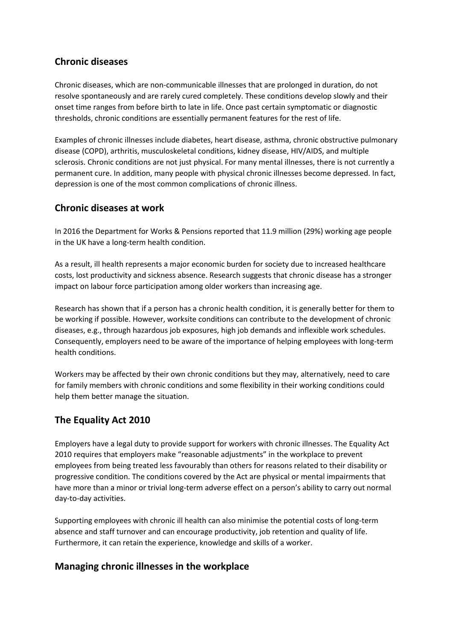## **Chronic diseases**

Chronic diseases, which are non-communicable illnesses that are prolonged in duration, do not resolve spontaneously and are rarely cured completely. These conditions develop slowly and their onset time ranges from before birth to late in life. Once past certain symptomatic or diagnostic thresholds, chronic conditions are essentially permanent features for the rest of life.

Examples of chronic illnesses include diabetes, heart disease, asthma, chronic obstructive pulmonary disease (COPD), arthritis, musculoskeletal conditions, kidney disease, HIV/AIDS, and multiple sclerosis. Chronic conditions are not just physical. For many mental illnesses, there is not currently a permanent cure. In addition, many people with physical chronic illnesses become depressed. In fact, depression is one of the most common complications of chronic illness.

#### **Chronic diseases at work**

In 2016 the Department for Works & Pensions reported that 11.9 million (29%) working age people in the UK have a long-term health condition.

As a result, ill health represents a major economic burden for society due to increased healthcare costs, lost productivity and sickness absence. Research suggests that chronic disease has a stronger impact on labour force participation among older workers than increasing age.

Research has shown that if a person has a chronic health condition, it is generally better for them to be working if possible. However, worksite conditions can contribute to the development of chronic diseases, e.g., through hazardous job exposures, high job demands and inflexible work schedules. Consequently, employers need to be aware of the importance of helping employees with long-term health conditions.

Workers may be affected by their own chronic conditions but they may, alternatively, need to care for family members with chronic conditions and some flexibility in their working conditions could help them better manage the situation.

## **The Equality Act 2010**

Employers have a legal duty to provide support for workers with chronic illnesses. The Equality Act 2010 requires that employers make "reasonable adjustments" in the workplace to prevent employees from being treated less favourably than others for reasons related to their disability or progressive condition. The conditions covered by the Act are physical or mental impairments that have more than a minor or trivial long-term adverse effect on a person's ability to carry out normal day-to-day activities.

Supporting employees with chronic ill health can also minimise the potential costs of long-term absence and staff turnover and can encourage productivity, job retention and quality of life. Furthermore, it can retain the experience, knowledge and skills of a worker.

## **Managing chronic illnesses in the workplace**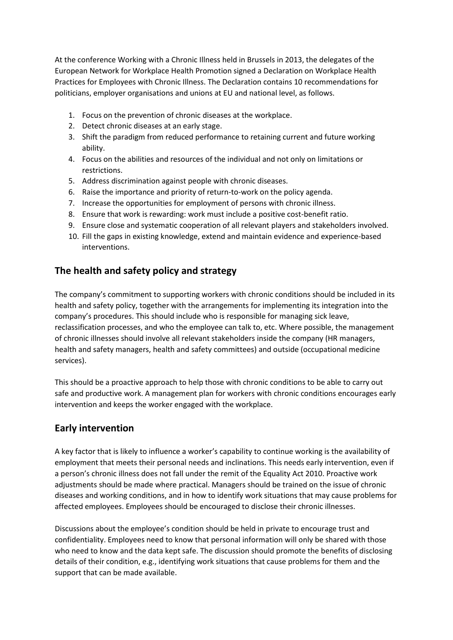At the conference Working with a Chronic Illness held in Brussels in 2013, the delegates of the European Network for Workplace Health Promotion signed a Declaration on Workplace Health Practices for Employees with Chronic Illness. The Declaration contains 10 recommendations for politicians, employer organisations and unions at EU and national level, as follows.

- 1. Focus on the prevention of chronic diseases at the workplace.
- 2. Detect chronic diseases at an early stage.
- 3. Shift the paradigm from reduced performance to retaining current and future working ability.
- 4. Focus on the abilities and resources of the individual and not only on limitations or restrictions.
- 5. Address discrimination against people with chronic diseases.
- 6. Raise the importance and priority of return-to-work on the policy agenda.
- 7. Increase the opportunities for employment of persons with chronic illness.
- 8. Ensure that work is rewarding: work must include a positive cost-benefit ratio.
- 9. Ensure close and systematic cooperation of all relevant players and stakeholders involved.
- 10. Fill the gaps in existing knowledge, extend and maintain evidence and experience-based interventions.

## **The health and safety policy and strategy**

The company's commitment to supporting workers with chronic conditions should be included in its health and safety policy, together with the arrangements for implementing its integration into the company's procedures. This should include who is responsible for managing sick leave, reclassification processes, and who the employee can talk to, etc. Where possible, the management of chronic illnesses should involve all relevant stakeholders inside the company (HR managers, health and safety managers, health and safety committees) and outside (occupational medicine services).

This should be a proactive approach to help those with chronic conditions to be able to carry out safe and productive work. A management plan for workers with chronic conditions encourages early intervention and keeps the worker engaged with the workplace.

#### **Early intervention**

A key factor that is likely to influence a worker's capability to continue working is the availability of employment that meets their personal needs and inclinations. This needs early intervention, even if a person's chronic illness does not fall under the remit of the Equality Act 2010. Proactive work adjustments should be made where practical. Managers should be trained on the issue of chronic diseases and working conditions, and in how to identify work situations that may cause problems for affected employees. Employees should be encouraged to disclose their chronic illnesses.

Discussions about the employee's condition should be held in private to encourage trust and confidentiality. Employees need to know that personal information will only be shared with those who need to know and the data kept safe. The discussion should promote the benefits of disclosing details of their condition, e.g., identifying work situations that cause problems for them and the support that can be made available.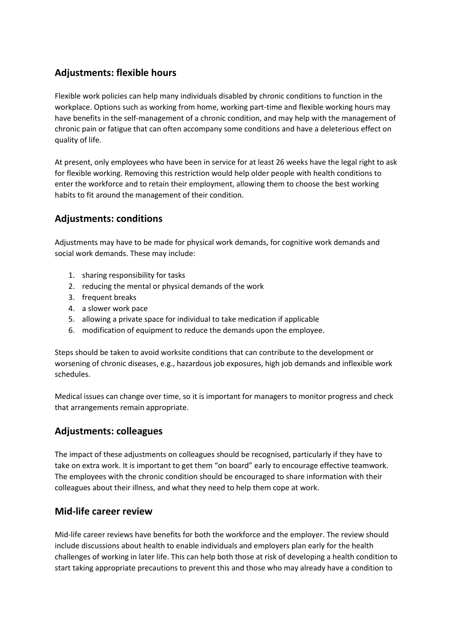# **Adjustments: flexible hours**

Flexible work policies can help many individuals disabled by chronic conditions to function in the workplace. Options such as working from home, working part-time and flexible working hours may have benefits in the self-management of a chronic condition, and may help with the management of chronic pain or fatigue that can often accompany some conditions and have a deleterious effect on quality of life.

At present, only employees who have been in service for at least 26 weeks have the legal right to ask for flexible working. Removing this restriction would help older people with health conditions to enter the workforce and to retain their employment, allowing them to choose the best working habits to fit around the management of their condition.

## **Adjustments: conditions**

Adjustments may have to be made for physical work demands, for cognitive work demands and social work demands. These may include:

- 1. sharing responsibility for tasks
- 2. reducing the mental or physical demands of the work
- 3. frequent breaks
- 4. a slower work pace
- 5. allowing a private space for individual to take medication if applicable
- 6. modification of equipment to reduce the demands upon the employee.

Steps should be taken to avoid worksite conditions that can contribute to the development or worsening of chronic diseases, e.g., hazardous job exposures, high job demands and inflexible work schedules.

Medical issues can change over time, so it is important for managers to monitor progress and check that arrangements remain appropriate.

## **Adjustments: colleagues**

The impact of these adjustments on colleagues should be recognised, particularly if they have to take on extra work. It is important to get them "on board" early to encourage effective teamwork. The employees with the chronic condition should be encouraged to share information with their colleagues about their illness, and what they need to help them cope at work.

#### **Mid-life career review**

Mid-life career reviews have benefits for both the workforce and the employer. The review should include discussions about health to enable individuals and employers plan early for the health challenges of working in later life. This can help both those at risk of developing a health condition to start taking appropriate precautions to prevent this and those who may already have a condition to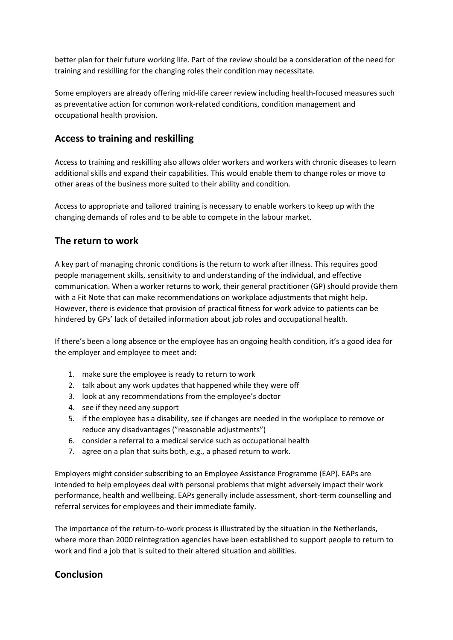better plan for their future working life. Part of the review should be a consideration of the need for training and reskilling for the changing roles their condition may necessitate.

Some employers are already offering mid-life career review including health-focused measures such as preventative action for common work-related conditions, condition management and occupational health provision.

#### **Access to training and reskilling**

Access to training and reskilling also allows older workers and workers with chronic diseases to learn additional skills and expand their capabilities. This would enable them to change roles or move to other areas of the business more suited to their ability and condition.

Access to appropriate and tailored training is necessary to enable workers to keep up with the changing demands of roles and to be able to compete in the labour market.

#### **The return to work**

A key part of managing chronic conditions is the return to work after illness. This requires good people management skills, sensitivity to and understanding of the individual, and effective communication. When a worker returns to work, their general practitioner (GP) should provide them with a Fit Note that can make recommendations on workplace adjustments that might help. However, there is evidence that provision of practical fitness for work advice to patients can be hindered by GPs' lack of detailed information about job roles and occupational health.

If there's been a long absence or the employee has an ongoing health condition, it's a good idea for the employer and employee to meet and:

- 1. make sure the employee is ready to return to work
- 2. talk about any work updates that happened while they were off
- 3. look at any recommendations from the employee's doctor
- 4. see if they need any support
- 5. if the employee has a disability, see if changes are needed in the workplace to remove or reduce any disadvantages ("reasonable adjustments")
- 6. consider a referral to a medical service such as occupational health
- 7. agree on a plan that suits both, e.g., a phased return to work.

Employers might consider subscribing to an Employee Assistance Programme (EAP). EAPs are intended to help employees deal with personal problems that might adversely impact their work performance, health and wellbeing. EAPs generally include assessment, short-term counselling and referral services for employees and their immediate family.

The importance of the return-to-work process is illustrated by the situation in the Netherlands, where more than 2000 reintegration agencies have been established to support people to return to work and find a job that is suited to their altered situation and abilities.

#### **Conclusion**